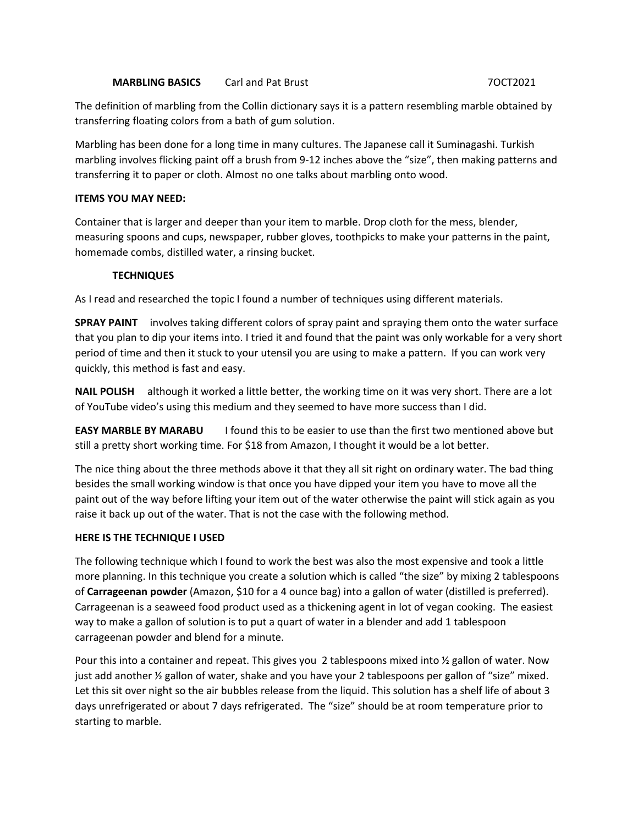## **MARBLING BASICS** Carl and Pat Brust 7OCT2021

The definition of marbling from the Collin dictionary says it is a pattern resembling marble obtained by transferring floating colors from a bath of gum solution.

Marbling has been done for a long time in many cultures. The Japanese call it Suminagashi. Turkish marbling involves flicking paint off a brush from 9-12 inches above the "size", then making patterns and transferring it to paper or cloth. Almost no one talks about marbling onto wood.

## **ITEMS YOU MAY NEED:**

Container that is larger and deeper than your item to marble. Drop cloth for the mess, blender, measuring spoons and cups, newspaper, rubber gloves, toothpicks to make your patterns in the paint, homemade combs, distilled water, a rinsing bucket.

## **TECHNIQUES**

As I read and researched the topic I found a number of techniques using different materials.

**SPRAY PAINT** involves taking different colors of spray paint and spraying them onto the water surface that you plan to dip your items into. I tried it and found that the paint was only workable for a very short period of time and then it stuck to your utensil you are using to make a pattern. If you can work very quickly, this method is fast and easy.

**NAIL POLISH** although it worked a little better, the working time on it was very short. There are a lot of YouTube video's using this medium and they seemed to have more success than I did.

**EASY MARBLE BY MARABU** I found this to be easier to use than the first two mentioned above but still a pretty short working time. For \$18 from Amazon, I thought it would be a lot better.

The nice thing about the three methods above it that they all sit right on ordinary water. The bad thing besides the small working window is that once you have dipped your item you have to move all the paint out of the way before lifting your item out of the water otherwise the paint will stick again as you raise it back up out of the water. That is not the case with the following method.

#### **HERE IS THE TECHNIQUE I USED**

The following technique which I found to work the best was also the most expensive and took a little more planning. In this technique you create a solution which is called "the size" by mixing 2 tablespoons of **Carrageenan powder** (Amazon, \$10 for a 4 ounce bag) into a gallon of water (distilled is preferred). Carrageenan is a seaweed food product used as a thickening agent in lot of vegan cooking. The easiest way to make a gallon of solution is to put a quart of water in a blender and add 1 tablespoon carrageenan powder and blend for a minute.

Pour this into a container and repeat. This gives you 2 tablespoons mixed into ½ gallon of water. Now just add another 1/2 gallon of water, shake and you have your 2 tablespoons per gallon of "size" mixed. Let this sit over night so the air bubbles release from the liquid. This solution has a shelf life of about 3 days unrefrigerated or about 7 days refrigerated. The "size" should be at room temperature prior to starting to marble.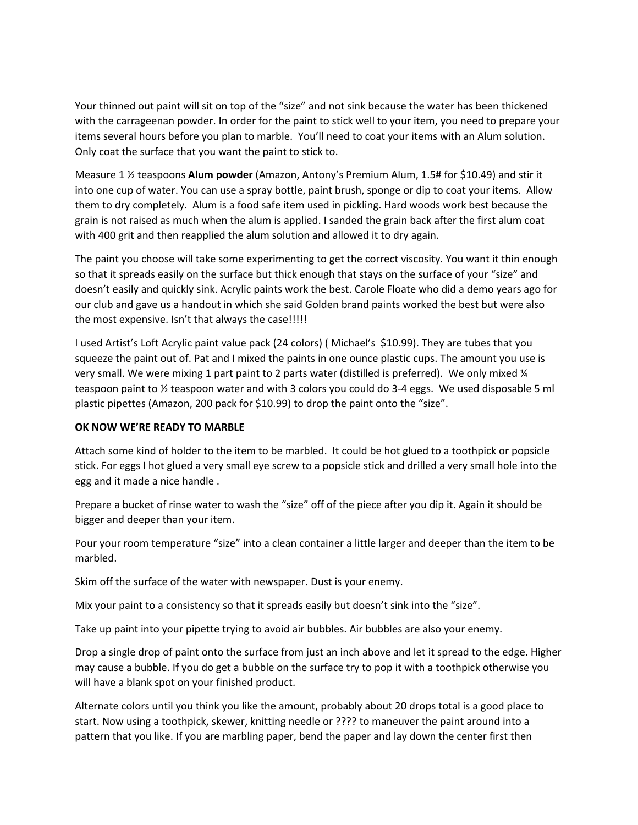Your thinned out paint will sit on top of the "size" and not sink because the water has been thickened with the carrageenan powder. In order for the paint to stick well to your item, you need to prepare your items several hours before you plan to marble. You'll need to coat your items with an Alum solution. Only coat the surface that you want the paint to stick to.

Measure 1 ½ teaspoons **Alum powder** (Amazon, Antony's Premium Alum, 1.5# for \$10.49) and stir it into one cup of water. You can use a spray bottle, paint brush, sponge or dip to coat your items. Allow them to dry completely. Alum is a food safe item used in pickling. Hard woods work best because the grain is not raised as much when the alum is applied. I sanded the grain back after the first alum coat with 400 grit and then reapplied the alum solution and allowed it to dry again.

The paint you choose will take some experimenting to get the correct viscosity. You want it thin enough so that it spreads easily on the surface but thick enough that stays on the surface of your "size" and doesn't easily and quickly sink. Acrylic paints work the best. Carole Floate who did a demo years ago for our club and gave us a handout in which she said Golden brand paints worked the best but were also the most expensive. Isn't that always the case!!!!!

I used Artist's Loft Acrylic paint value pack (24 colors) ( Michael's \$10.99). They are tubes that you squeeze the paint out of. Pat and I mixed the paints in one ounce plastic cups. The amount you use is very small. We were mixing 1 part paint to 2 parts water (distilled is preferred). We only mixed ¼ teaspoon paint to ½ teaspoon water and with 3 colors you could do 3-4 eggs. We used disposable 5 ml plastic pipettes (Amazon, 200 pack for \$10.99) to drop the paint onto the "size".

# **OK NOW WE'RE READY TO MARBLE**

Attach some kind of holder to the item to be marbled. It could be hot glued to a toothpick or popsicle stick. For eggs I hot glued a very small eye screw to a popsicle stick and drilled a very small hole into the egg and it made a nice handle .

Prepare a bucket of rinse water to wash the "size" off of the piece after you dip it. Again it should be bigger and deeper than your item.

Pour your room temperature "size" into a clean container a little larger and deeper than the item to be marbled.

Skim off the surface of the water with newspaper. Dust is your enemy.

Mix your paint to a consistency so that it spreads easily but doesn't sink into the "size".

Take up paint into your pipette trying to avoid air bubbles. Air bubbles are also your enemy.

Drop a single drop of paint onto the surface from just an inch above and let it spread to the edge. Higher may cause a bubble. If you do get a bubble on the surface try to pop it with a toothpick otherwise you will have a blank spot on your finished product.

Alternate colors until you think you like the amount, probably about 20 drops total is a good place to start. Now using a toothpick, skewer, knitting needle or ???? to maneuver the paint around into a pattern that you like. If you are marbling paper, bend the paper and lay down the center first then